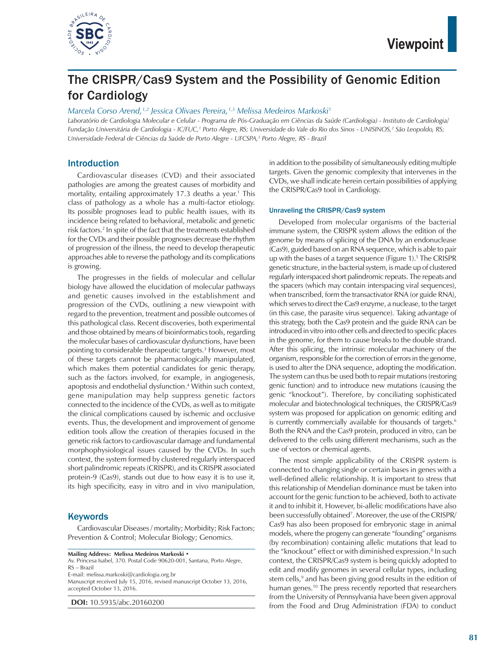

# The CRISPR/Cas9 System and the Possibility of Genomic Edition for Cardiology

*Marcela Corso Arend,1,2 Jessica Olivaes Pereira,1,3 Melissa Medeiros Markoski1*

*Laboratório de Cardiologia Molecular e Celular - Programa de Pós-Graduação em Ciências da Saúde (Cardiologia) - Instituto de Cardiologia/* Fundação Universitária de Cardiologia - IC/FUC,<sup>1</sup> Porto Alegre, RS; Universidade do Vale do Rio dos Sinos - UNISINOS,<sup>2</sup> São Leopoldo, RS; Universidade Federal de Ciências da Saúde de Porto Alegre - UFCSPA,<sup>3</sup> Porto Alegre, RS - Brazil

# Introduction

Cardiovascular diseases (CVD) and their associated pathologies are among the greatest causes of morbidity and mortality, entailing approximately 17.3 deaths a year.<sup>1</sup> This class of pathology as a whole has a multi-factor etiology. Its possible prognoses lead to public health issues, with its incidence being related to behavioral, metabolic and genetic risk factors.2 In spite of the fact that the treatments established for the CVDs and their possible prognoses decrease the rhythm of progression of the illness, the need to develop therapeutic approaches able to reverse the pathology and its complications is growing.

The progresses in the fields of molecular and cellular biology have allowed the elucidation of molecular pathways and genetic causes involved in the establishment and progression of the CVDs, outlining a new viewpoint with regard to the prevention, treatment and possible outcomes of this pathological class. Recent discoveries, both experimental and those obtained by means of bioinformatics tools, regarding the molecular bases of cardiovascular dysfunctions, have been pointing to considerable therapeutic targets.3 However, most of these targets cannot be pharmacologically manipulated, which makes them potential candidates for genic therapy, such as the factors involved, for example, in angiogenesis, apoptosis and endothelial dysfunction.4 Within such context, gene manipulation may help suppress genetic factors connected to the incidence of the CVDs, as well as to mitigate the clinical complications caused by ischemic and occlusive events. Thus, the development and improvement of genome edition tools allow the creation of therapies focused in the genetic risk factors to cardiovascular damage and fundamental morphophysiological issues caused by the CVDs. In such context, the system formed by clustered regularly interspaced short palindromic repeats (CRISPR), and its CRISPR associated protein-9 (Cas9), stands out due to how easy it is to use it, its high specificity, easy in vitro and in vivo manipulation,

# **Keywords**

Cardiovascular Diseases / mortality; Morbidity; Risk Factors; Prevention & Control; Molecular Biology; Genomics.

**Mailing Address: Melissa Medeiros Markoski •**

Av. Princesa Isabel, 370. Postal Code 90620-001, Santana, Porto Alegre, RS – Brazil

E-mail: melissa.markoski@cardiologia.org.br

Manuscript received July 15, 2016, revised manuscript October 13, 2016, accepted October 13, 2016.

**DOI:** 10.5935/abc.20160200

in addition to the possibility of simultaneously editing multiple targets. Given the genomic complexity that intervenes in the CVDs, we shall indicate herein certain possibilities of applying the CRISPR/Cas9 tool in Cardiology.

#### Unraveling the CRISPR/Cas9 system

Developed from molecular organisms of the bacterial immune system, the CRISPR system allows the edition of the genome by means of splicing of the DNA by an endonuclease (Cas9), guided based on an RNA sequence, which is able to pair up with the bases of a target sequence (Figure 1).<sup>5</sup> The CRISPR genetic structure, in the bacterial system, is made up of clustered regularly interspaced short palindromic repeats. The repeats and the spacers (which may contain interspacing viral sequences), when transcribed, form the transactivator RNA (or guide RNA), which serves to direct the Cas9 enzyme, a nuclease, to the target (in this case, the parasite virus sequence). Taking advantage of this strategy, both the Cas9 protein and the guide RNA can be introduced in vitro into other cells and directed to specific places in the genome, for them to cause breaks to the double strand. After this splicing, the intrinsic molecular machinery of the organism, responsible for the correction of errors in the genome, is used to alter the DNA sequence, adopting the modification. The system can thus be used both to repair mutations (restoring genic function) and to introduce new mutations (causing the genic "knockout"). Therefore, by conciliating sophisticated molecular and biotechnological techniques, the CRISPR/Cas9 system was proposed for application on genomic editing and is currently commercially available for thousands of targets.<sup>6</sup> Both the RNA and the Cas9 protein, produced in vitro, can be delivered to the cells using different mechanisms, such as the use of vectors or chemical agents.

The most simple applicability of the CRISPR system is connected to changing single or certain bases in genes with a well-defined allelic relationship. It is important to stress that this relationship of Mendelian dominance must be taken into account for the genic function to be achieved, both to activate it and to inhibit it. However, bi-allelic modifications have also been successfully obtained<sup>7</sup>. Moreover, the use of the CRISPR/ Cas9 has also been proposed for embryonic stage in animal models, where the progeny can generate "founding" organisms (by recombination) containing allelic mutations that lead to the "knockout" effect or with diminished expression.<sup>8</sup> In such context, the CRISPR/Cas9 system is being quickly adopted to edit and modify genomes in several cellular types, including stem cells,<sup>9</sup> and has been giving good results in the edition of human genes.<sup>10</sup> The press recently reported that researchers from the University of Pennsylvania have been given approval from the Food and Drug Administration (FDA) to conduct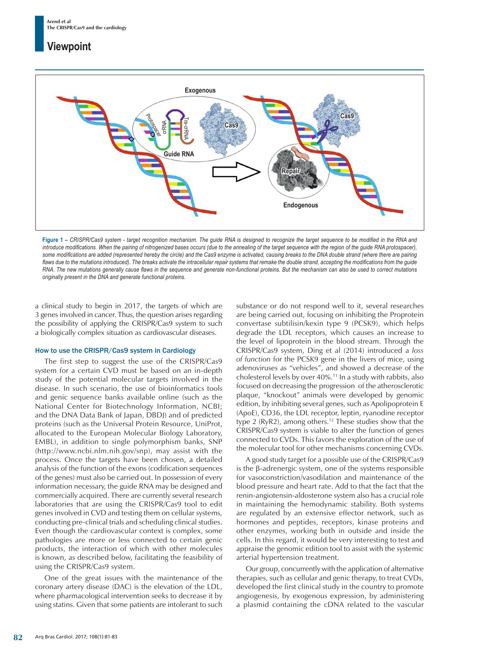# **Viewpoint**



**Figure 1 –** *CRISPR/Cas9 system - target recognition mechanism. The guide RNA is designed to recognize the target sequence to be modified in the RNA and introduce modifications. When the pairing of nitrogenized bases occurs (due to the annealing of the target sequence with the region of the guide RNA protospacer),*  some modifications are added (represented hereby the circle) and the Cas9 enzyme is activated, causing breaks to the DNA double strand (where there are pairing flaws due to the mutations introduced). The breaks activate the intracellular repair systems that remake the double strand, accepting the modifications from the quide *RNA. The new mutations generally cause flaws in the sequence and generate non-functional proteins. But the mechanism can also be used to correct mutations originally present in the DNA and generate functional proteins.*

a clinical study to begin in 2017, the targets of which are 3 genes involved in cancer. Thus, the question arises regarding the possibility of applying the CRISPR/Cas9 system to such a biologically complex situation as cardiovascular diseases.

#### How to use the CRISPR/Cas9 system in Cardiology

The first step to suggest the use of the CRISPR/Cas9 system for a certain CVD must be based on an in-depth study of the potential molecular targets involved in the disease. In such scenario, the use of bioinformatics tools and genic sequence banks available online (such as the National Center for Biotechnology Information, NCBI; and the DNA Data Bank of Japan, DBDJ) and of predicted proteins (such as the Universal Protein Resource, UniProt, allocated to the European Molecular Biology Laboratory, EMBL), in addition to single polymorphism banks, SNP (http://www.ncbi.nlm.nih.gov/snp), may assist with the process. Once the targets have been chosen, a detailed analysis of the function of the exons (codification sequences of the genes) must also be carried out. In possession of every information necessary, the guide RNA may be designed and commercially acquired. There are currently several research laboratories that are using the CRISPR/Cas9 tool to edit genes involved in CVD and testing them on cellular systems, conducting pre-clinical trials and scheduling clinical studies. Even though the cardiovascular context is complex, some pathologies are more or less connected to certain genic products, the interaction of which with other molecules is known, as described below, facilitating the feasibility of using the CRISPR/Cas9 system.

One of the great issues with the maintenance of the coronary artery disease (DAC) is the elevation of the LDL, where pharmacological intervention seeks to decrease it by using statins. Given that some patients are intolerant to such substance or do not respond well to it, several researches are being carried out, focusing on inhibiting the Proprotein convertase subtilisin/kexin type 9 (PCSK9), which helps degrade the LDL receptors, which causes an increase to the level of lipoprotein in the blood stream. Through the CRISPR/Cas9 system, Ding et al (2014) introduced a *loss of function* for the PCSK9 gene in the livers of mice, using adenoviruses as "vehicles", and showed a decrease of the cholesterol levels by over 40%.11 In a study with rabbits, also focused on decreasing the progression of the atherosclerotic plaque, "knockout" animals were developed by genomic edition, by inhibiting several genes, such as Apolipoprotein E (ApoE), CD36, the LDL receptor, leptin, ryanodine receptor type 2 (RyR2), among others.12 These studies show that the CRISPR/Cas9 system is viable to alter the function of genes connected to CVDs. This favors the exploration of the use of the molecular tool for other mechanisms concerning CVDs.

A good study target for a possible use of the CRISPR/Cas9 is the β-adrenergic system, one of the systems responsible for vasoconstriction/vasodilation and maintenance of the blood pressure and heart rate. Add to that the fact that the renin-angiotensin-aldosterone system also has a crucial role in maintaining the hemodynamic stability. Both systems are regulated by an extensive effector network, such as hormones and peptides, receptors, kinase proteins and other enzymes, working both in outside and inside the cells. In this regard, it would be very interesting to test and appraise the genomic edition tool to assist with the systemic arterial hypertension treatment.

Our group, concurrently with the application of alternative therapies, such as cellular and genic therapy, to treat CVDs, developed the first clinical study in the country to promote angiogenesis, by exogenous expression, by administering a plasmid containing the cDNA related to the vascular